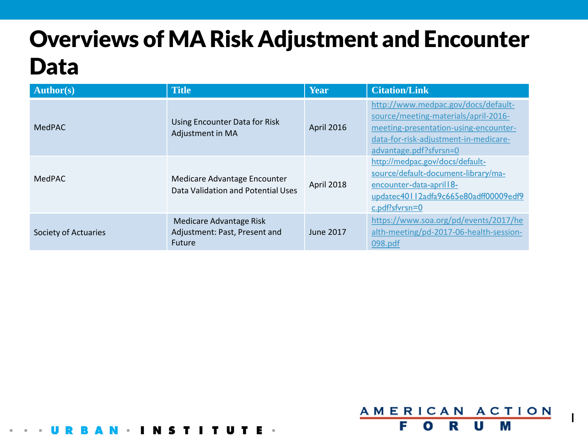# Overviews of MA Risk Adjustment and Encounter Data

| <b>Author(s)</b>     | <b>Title</b>                                                              | <b>Year</b> | <b>Citation/Link</b>                                                                                                                                                                    |
|----------------------|---------------------------------------------------------------------------|-------------|-----------------------------------------------------------------------------------------------------------------------------------------------------------------------------------------|
| <b>MedPAC</b>        | Using Encounter Data for Risk<br>Adjustment in MA                         | April 2016  | http://www.medpac.gov/docs/default-<br>source/meeting-materials/april-2016-<br>meeting-presentation-using-encounter-<br>data-for-risk-adjustment-in-medicare-<br>advantage.pdf?sfvrsn=0 |
| MedPAC               | Medicare Advantage Encounter<br>Data Validation and Potential Uses        | April 2018  | http://medpac.gov/docs/default-<br>source/default-document-library/ma-<br>encounter-data-april   8-<br>updatec40112adfa9c665e80adff00009edf9<br>$c.pdf$ : $pdf!$ sfvrsn=0               |
| Society of Actuaries | Medicare Advantage Risk<br>Adjustment: Past, Present and<br><b>Future</b> | June 2017   | https://www.soa.org/pd/events/2017/he<br>alth-meeting/pd-2017-06-health-session-<br>098.pdf                                                                                             |

I T U T E



1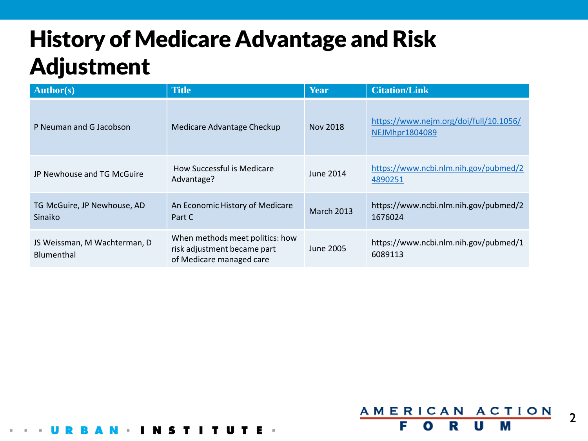# History of Medicare Advantage and Risk Adjustment

I T U T E

**COL** 

N S

| <b>Author(s)</b>                           | <b>Title</b>                                                                               | <b>Year</b>       | <b>Citation/Link</b>                                     |
|--------------------------------------------|--------------------------------------------------------------------------------------------|-------------------|----------------------------------------------------------|
| P Neuman and G Jacobson                    | Medicare Advantage Checkup                                                                 | Nov 2018          | https://www.nejm.org/doi/full/10.1056/<br>NEJMhpr1804089 |
| JP Newhouse and TG McGuire                 | How Successful is Medicare<br>Advantage?                                                   | June 2014         | https://www.ncbi.nlm.nih.gov/pubmed/2<br>4890251         |
| TG McGuire, JP Newhouse, AD<br>Sinaiko     | An Economic History of Medicare<br>Part C                                                  | <b>March 2013</b> | https://www.ncbi.nlm.nih.gov/pubmed/2<br>1676024         |
| JS Weissman, M Wachterman, D<br>Blumenthal | When methods meet politics: how<br>risk adjustment became part<br>of Medicare managed care | <b>June 2005</b>  | https://www.ncbi.nlm.nih.gov/pubmed/1<br>6089113         |

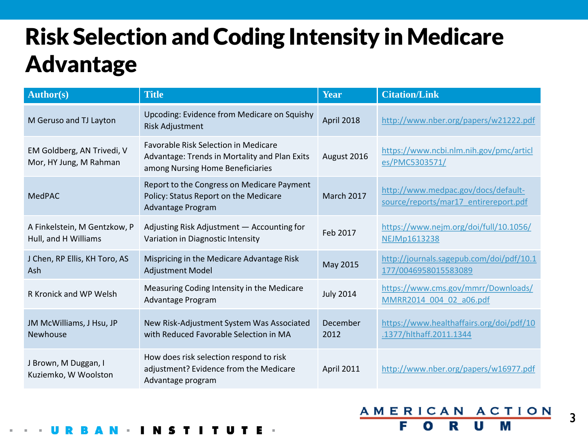# Risk Selection and Coding Intensity in Medicare Advantage

| <b>Author(s)</b>                                     | <b>Title</b>                                                                                                                     | Year              | <b>Citation/Link</b>                                                         |
|------------------------------------------------------|----------------------------------------------------------------------------------------------------------------------------------|-------------------|------------------------------------------------------------------------------|
| M Geruso and TJ Layton                               | Upcoding: Evidence from Medicare on Squishy<br><b>Risk Adjustment</b>                                                            | April 2018        | http://www.nber.org/papers/w21222.pdf                                        |
| EM Goldberg, AN Trivedi, V<br>Mor, HY Jung, M Rahman | <b>Favorable Risk Selection in Medicare</b><br>Advantage: Trends in Mortality and Plan Exits<br>among Nursing Home Beneficiaries | August 2016       | https://www.ncbi.nlm.nih.gov/pmc/articl<br>es/PMC5303571/                    |
| <b>MedPAC</b>                                        | Report to the Congress on Medicare Payment<br>Policy: Status Report on the Medicare<br>Advantage Program                         | <b>March 2017</b> | http://www.medpac.gov/docs/default-<br>source/reports/mar17 entirereport.pdf |
| A Finkelstein, M Gentzkow, P<br>Hull, and H Williams | Adjusting Risk Adjustment - Accounting for<br>Variation in Diagnostic Intensity                                                  | Feb 2017          | https://www.nejm.org/doi/full/10.1056/<br>NEJMp1613238                       |
| J Chen, RP Ellis, KH Toro, AS<br>Ash                 | Mispricing in the Medicare Advantage Risk<br>Adjustment Model                                                                    | May 2015          | http://journals.sagepub.com/doi/pdf/10.1<br>177/0046958015583089             |
| R Kronick and WP Welsh                               | Measuring Coding Intensity in the Medicare<br>Advantage Program                                                                  | <b>July 2014</b>  | https://www.cms.gov/mmrr/Downloads/<br>MMRR2014 004 02 a06.pdf               |
| JM McWilliams, J Hsu, JP<br>Newhouse                 | New Risk-Adjustment System Was Associated<br>with Reduced Favorable Selection in MA                                              | December<br>2012  | https://www.healthaffairs.org/doi/pdf/10<br>.1377/hlthaff.2011.1344          |
| J Brown, M Duggan, I<br>Kuziemko, W Woolston         | How does risk selection respond to risk<br>adjustment? Evidence from the Medicare<br>Advantage program                           | April 2011        | http://www.nber.org/papers/w16977.pdf                                        |

### AMER **ACTION**  $ICAN$ М F U О

3

T U T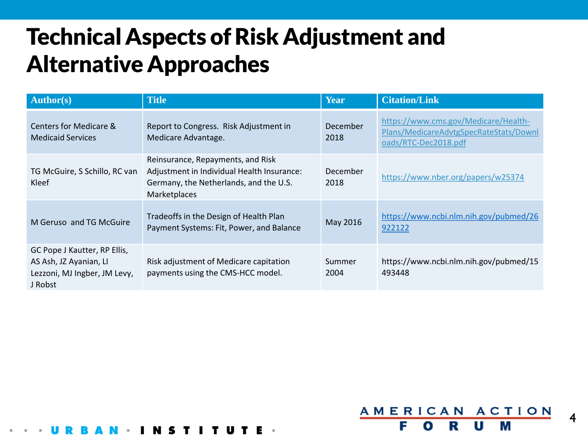## Technical Aspects of Risk Adjustment and Alternative Approaches

| <b>Author(s)</b>                                                                                  | <b>Title</b>                                                                                                                              | <b>Year</b>      | <b>Citation/Link</b>                                                                                   |
|---------------------------------------------------------------------------------------------------|-------------------------------------------------------------------------------------------------------------------------------------------|------------------|--------------------------------------------------------------------------------------------------------|
| <b>Centers for Medicare &amp;</b><br><b>Medicaid Services</b>                                     | Report to Congress. Risk Adjustment in<br>Medicare Advantage.                                                                             | December<br>2018 | https://www.cms.gov/Medicare/Health-<br>Plans/MedicareAdvtgSpecRateStats/Downl<br>oads/RTC-Dec2018.pdf |
| TG McGuire, S Schillo, RC van<br>Kleef                                                            | Reinsurance, Repayments, and Risk<br>Adjustment in Individual Health Insurance:<br>Germany, the Netherlands, and the U.S.<br>Marketplaces | December<br>2018 | https://www.nber.org/papers/w25374                                                                     |
| M Geruso and TG McGuire                                                                           | Tradeoffs in the Design of Health Plan<br>Payment Systems: Fit, Power, and Balance                                                        | May 2016         | https://www.ncbi.nlm.nih.gov/pubmed/26<br>922122                                                       |
| GC Pope J Kautter, RP Ellis,<br>AS Ash, JZ Ayanian, LI<br>Lezzoni, MJ Ingber, JM Levy,<br>J Robst | Risk adjustment of Medicare capitation<br>payments using the CMS-HCC model.                                                               | Summer<br>2004   | https://www.ncbi.nlm.nih.gov/pubmed/15<br>493448                                                       |

4

AMERICAN ACTION

R

F

o

М

U